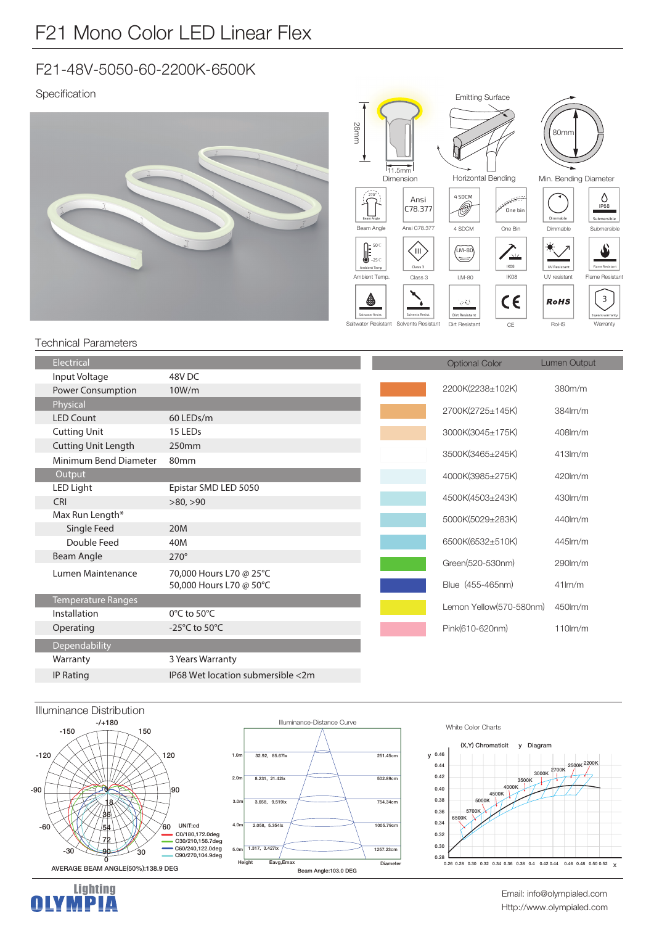## F21-48V-5050-60-2200K-6500K

Specification





τ

## **Technical Parameters**

| Electrical                 |                                     | <b>Optional Color</b>   | Lumen Output        |
|----------------------------|-------------------------------------|-------------------------|---------------------|
| Input Voltage              | 48V <sub>DC</sub>                   |                         |                     |
| <b>Power Consumption</b>   | 10W/m                               | 2200K(2238±102K)        | 380m/m              |
| Physical                   |                                     | 2700K(2725±145K)        | $384lm$ /m          |
| <b>LED Count</b>           | 60 LEDs/m                           |                         |                     |
| <b>Cutting Unit</b>        | 15 LEDs                             | 3000K(3045±175K)        | 408lm/m             |
| <b>Cutting Unit Length</b> | 250mm                               |                         |                     |
| Minimum Bend Diameter      | 80 <sub>mm</sub>                    | 3500K(3465±245K)        | $413$ m/m           |
| Output                     |                                     | 4000K(3985±275K)        | 420lm/m             |
| LED Light                  | Epistar SMD LED 5050                |                         |                     |
| <b>CRI</b>                 | >80, >90                            | 4500K(4503±243K)        | $430$ m/m           |
| Max Run Length*            |                                     | 5000K(5029±283K)        | 440lm/m             |
| Single Feed                | 20M                                 |                         |                     |
| Double Feed                | 40M                                 | 6500K(6532±510K)        | $445$ $\text{km/m}$ |
| Beam Angle                 | $270^\circ$                         | Green(520-530nm)        | $290$ lm/m          |
| Lumen Maintenance          | 70,000 Hours L70 @ 25°C             |                         |                     |
|                            | 50,000 Hours L70 @ 50°C             | Blue (455-465nm)        | $41$ lm/m           |
| Temperature Ranges         |                                     | Lemon Yellow(570-580nm) | 450lm/m             |
| Installation               | $0^{\circ}$ C to 50 $^{\circ}$ C    |                         |                     |
| Operating                  | -25 $^{\circ}$ C to 50 $^{\circ}$ C | Pink(610-620nm)         | $110$ m/m           |
| Dependability              |                                     |                         |                     |
| Warranty                   | 3 Years Warranty                    |                         |                     |
| <b>IP Rating</b>           | IP68 Wet location submersible <2m   |                         |                     |





Email: info@olympialed.com Http://www.olympialed.com

 $\mathbf{x}$